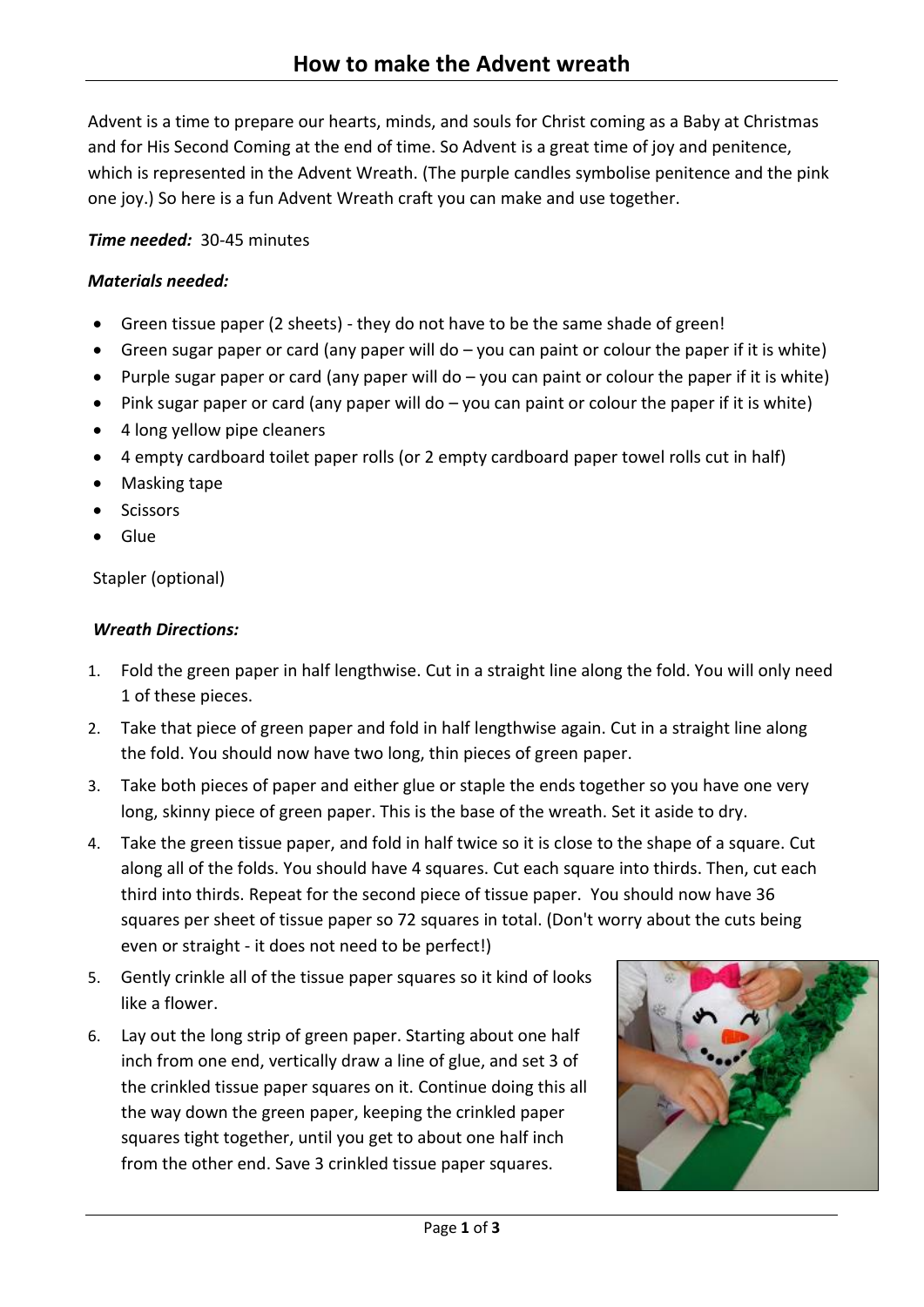Advent is a time to prepare our hearts, minds, and souls for Christ coming as a Baby at Christmas and for His Second Coming at the end of time. So Advent is a great time of joy and penitence, which is represented in the Advent Wreath. (The purple candles symbolise penitence and the pink one joy.) So here is a fun Advent Wreath craft you can make and use together.

# *Time needed:* 30-45 minutes

### *Materials needed:*

- Green tissue paper (2 sheets) they do not have to be the same shade of green!
- Green sugar paper or card (any paper will do  $-$  you can paint or colour the paper if it is white)
- Purple sugar paper or card (any paper will do  $-$  you can paint or colour the paper if it is white)
- Pink sugar paper or card (any paper will do you can paint or colour the paper if it is white)
- 4 long yellow pipe cleaners
- 4 empty cardboard toilet paper rolls (or 2 empty cardboard paper towel rolls cut in half)
- Masking tape
- **Scissors**
- Glue

Stapler (optional)

#### *Wreath Directions:*

- 1. Fold the green paper in half lengthwise. Cut in a straight line along the fold. You will only need 1 of these pieces.
- 2. Take that piece of green paper and fold in half lengthwise again. Cut in a straight line along the fold. You should now have two long, thin pieces of green paper.
- 3. Take both pieces of paper and either glue or staple the ends together so you have one very long, skinny piece of green paper. This is the base of the wreath. Set it aside to dry.
- 4. Take the green tissue paper, and fold in half twice so it is close to the shape of a square. Cut along all of the folds. You should have 4 squares. Cut each square into thirds. Then, cut each third into thirds. Repeat for the second piece of tissue paper. You should now have 36 squares per sheet of tissue paper so 72 squares in total. (Don't worry about the cuts being even or straight - it does not need to be perfect!)
- 5. Gently crinkle all of the tissue paper squares so it kind of looks like a flower.
- 6. Lay out the long strip of green paper. Starting about one half inch from one end, vertically draw a line of glue, and set 3 of the crinkled tissue paper squares on it. Continue doing this all the way down the green paper, keeping the crinkled paper squares tight together, until you get to about one half inch from the other end. Save 3 crinkled tissue paper squares.

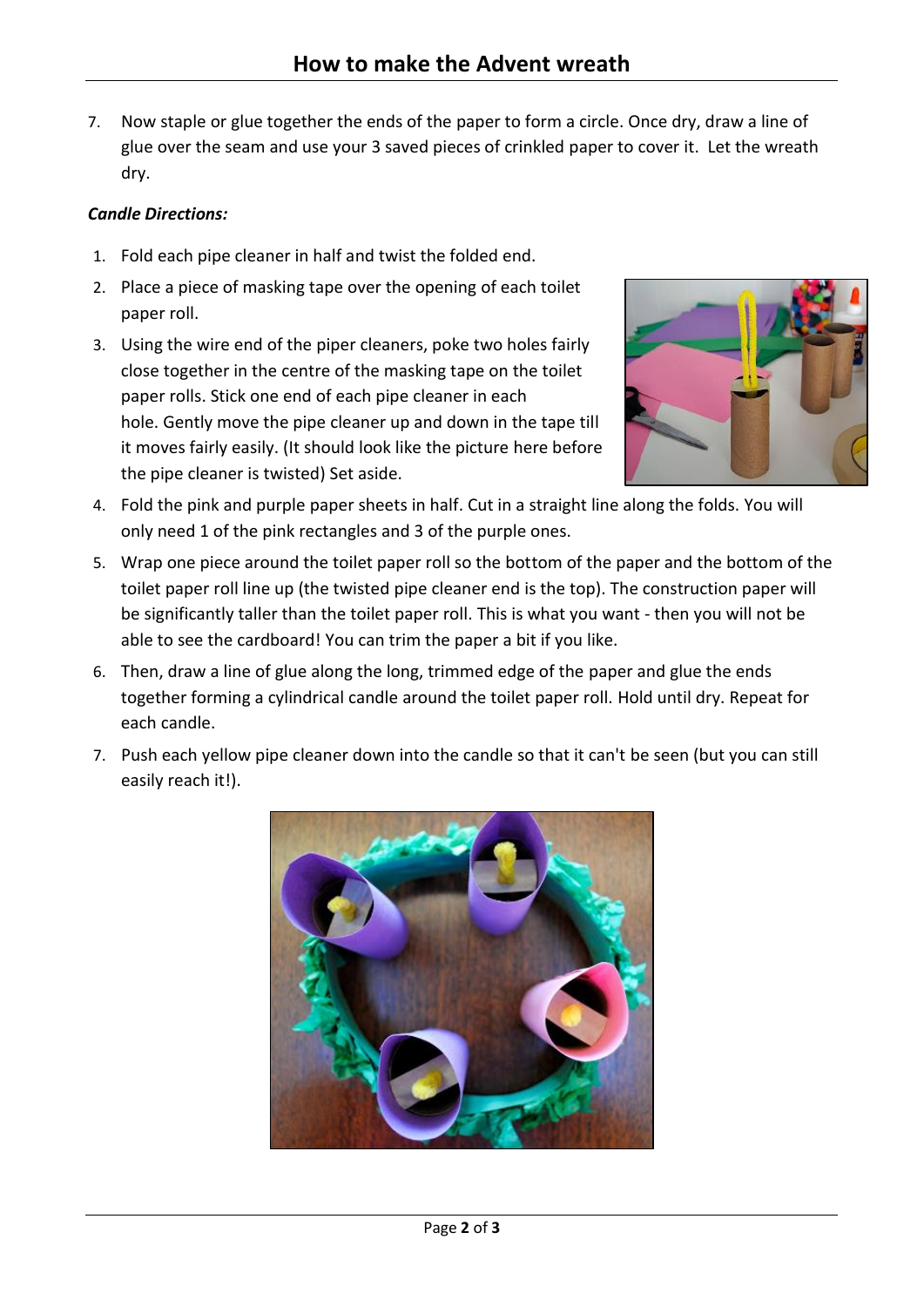7. Now staple or glue together the ends of the paper to form a circle. Once dry, draw a line of glue over the seam and use your 3 saved pieces of crinkled paper to cover it. Let the wreath dry.

### *Candle Directions:*

- 1. Fold each pipe cleaner in half and twist the folded end.
- 2. Place a piece of masking tape over the opening of each toilet paper roll.
- 3. Using the wire end of the piper cleaners, poke two holes fairly close together in the centre of the masking tape on the toilet paper rolls. Stick one end of each pipe cleaner in each hole. Gently move the pipe cleaner up and down in the tape till it moves fairly easily. (It should look like the picture here before the pipe cleaner is twisted) Set aside.



- 4. Fold the pink and purple paper sheets in half. Cut in a straight line along the folds. You will only need 1 of the pink rectangles and 3 of the purple ones.
- 5. Wrap one piece around the toilet paper roll so the bottom of the paper and the bottom of the toilet paper roll line up (the twisted pipe cleaner end is the top). The construction paper will be significantly taller than the toilet paper roll. This is what you want - then you will not be able to see the cardboard! You can trim the paper a bit if you like.
- 6. Then, draw a line of glue along the long, trimmed edge of the paper and glue the ends together forming a cylindrical candle around the toilet paper roll. Hold until dry. Repeat for each candle.
- 7. Push each yellow pipe cleaner down into the candle so that it can't be seen (but you can still easily reach it!).